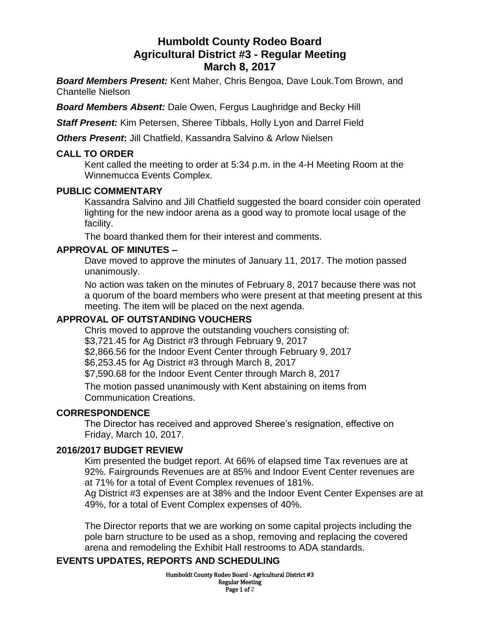# **Humboldt County Rodeo Board Agricultural District #3 - Regular Meeting March 8, 2017**

*Board Members Present:* Kent Maher, Chris Bengoa, Dave Louk.Tom Brown, and Chantelle Nielson

*Board Members Absent:* Dale Owen, Fergus Laughridge and Becky Hill

*Staff Present:* Kim Petersen, Sheree Tibbals, Holly Lyon and Darrel Field

**Others Present:** Jill Chatfield, Kassandra Salvino & Arlow Nielsen

#### **CALL TO ORDER**

Kent called the meeting to order at 5:34 p.m. in the 4-H Meeting Room at the Winnemucca Events Complex.

#### **PUBLIC COMMENTARY**

Kassandra Salvino and Jill Chatfield suggested the board consider coin operated lighting for the new indoor arena as a good way to promote local usage of the facility.

The board thanked them for their interest and comments.

### **APPROVAL OF MINUTES –**

Dave moved to approve the minutes of January 11, 2017. The motion passed unanimously.

No action was taken on the minutes of February 8, 2017 because there was not a quorum of the board members who were present at that meeting present at this meeting. The item will be placed on the next agenda.

### **APPROVAL OF OUTSTANDING VOUCHERS**

Chris moved to approve the outstanding vouchers consisting of:

\$3,721.45 for Ag District #3 through February 9, 2017

\$2,866.56 for the Indoor Event Center through February 9, 2017

\$6,253.45 for Ag District #3 through March 8, 2017

\$7,590.68 for the Indoor Event Center through March 8, 2017

The motion passed unanimously with Kent abstaining on items from Communication Creations.

### **CORRESPONDENCE**

The Director has received and approved Sheree's resignation, effective on Friday, March 10, 2017.

### **2016/2017 BUDGET REVIEW**

Kim presented the budget report. At 66% of elapsed time Tax revenues are at 92%. Fairgrounds Revenues are at 85% and Indoor Event Center revenues are at 71% for a total of Event Complex revenues of 181%.

Ag District #3 expenses are at 38% and the Indoor Event Center Expenses are at 49%, for a total of Event Complex expenses of 40%.

The Director reports that we are working on some capital projects including the pole barn structure to be used as a shop, removing and replacing the covered arena and remodeling the Exhibit Hall restrooms to ADA standards.

### **EVENTS UPDATES, REPORTS AND SCHEDULING**

Humboldt County Rodeo Board - Agricultural District #3 Regular Meeting Page 1 of 2